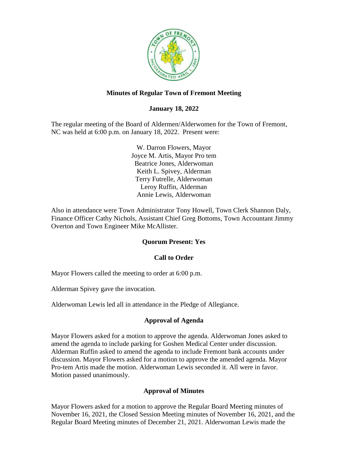

## **Minutes of Regular Town of Fremont Meeting**

## **January 18, 2022**

The regular meeting of the Board of Aldermen/Alderwomen for the Town of Fremont, NC was held at 6:00 p.m. on January 18, 2022. Present were:

> W. Darron Flowers, Mayor Joyce M. Artis, Mayor Pro tem Beatrice Jones, Alderwoman Keith L. Spivey, Alderman Terry Futrelle, Alderwoman Leroy Ruffin, Alderman Annie Lewis, Alderwoman

Also in attendance were Town Administrator Tony Howell, Town Clerk Shannon Daly, Finance Officer Cathy Nichols, Assistant Chief Greg Bottoms, Town Accountant Jimmy Overton and Town Engineer Mike McAllister.

### **Quorum Present: Yes**

### **Call to Order**

Mayor Flowers called the meeting to order at 6:00 p.m.

Alderman Spivey gave the invocation.

Alderwoman Lewis led all in attendance in the Pledge of Allegiance.

### **Approval of Agenda**

Mayor Flowers asked for a motion to approve the agenda. Alderwoman Jones asked to amend the agenda to include parking for Goshen Medical Center under discussion. Alderman Ruffin asked to amend the agenda to include Fremont bank accounts under discussion. Mayor Flowers asked for a motion to approve the amended agenda. Mayor Pro-tem Artis made the motion. Alderwoman Lewis seconded it. All were in favor. Motion passed unanimously.

### **Approval of Minutes**

Mayor Flowers asked for a motion to approve the Regular Board Meeting minutes of November 16, 2021, the Closed Session Meeting minutes of November 16, 2021, and the Regular Board Meeting minutes of December 21, 2021. Alderwoman Lewis made the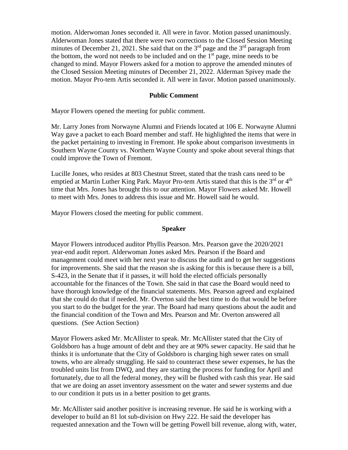motion. Alderwoman Jones seconded it. All were in favor. Motion passed unanimously. Alderwoman Jones stated that there were two corrections to the Closed Session Meeting minutes of December 21, 2021. She said that on the  $3<sup>rd</sup>$  page and the  $3<sup>rd</sup>$  paragraph from the bottom, the word not needs to be included and on the  $1<sup>st</sup>$  page, mine needs to be changed to mind. Mayor Flowers asked for a motion to approve the amended minutes of the Closed Session Meeting minutes of December 21, 2022. Alderman Spivey made the motion. Mayor Pro-tem Artis seconded it. All were in favor. Motion passed unanimously.

### **Public Comment**

Mayor Flowers opened the meeting for public comment.

Mr. Larry Jones from Norwayne Alumni and Friends located at 106 E. Norwayne Alumni Way gave a packet to each Board member and staff. He highlighted the items that were in the packet pertaining to investing in Fremont. He spoke about comparison investments in Southern Wayne County vs. Northern Wayne County and spoke about several things that could improve the Town of Fremont.

Lucille Jones, who resides at 803 Chestnut Street, stated that the trash cans need to be emptied at Martin Luther King Park. Mayor Pro-tem Artis stated that this is the 3<sup>rd</sup> or 4<sup>th</sup> time that Mrs. Jones has brought this to our attention. Mayor Flowers asked Mr. Howell to meet with Mrs. Jones to address this issue and Mr. Howell said he would.

Mayor Flowers closed the meeting for public comment.

#### **Speaker**

Mayor Flowers introduced auditor Phyllis Pearson. Mrs. Pearson gave the 2020/2021 year-end audit report. Alderwoman Jones asked Mrs. Pearson if the Board and management could meet with her next year to discuss the audit and to get her suggestions for improvements. She said that the reason she is asking for this is because there is a bill, S-423, in the Senate that if it passes, it will hold the elected officials personally accountable for the finances of the Town. She said in that case the Board would need to have thorough knowledge of the financial statements. Mrs. Pearson agreed and explained that she could do that if needed. Mr. Overton said the best time to do that would be before you start to do the budget for the year. The Board had many questions about the audit and the financial condition of the Town and Mrs. Pearson and Mr. Overton answered all questions. (See Action Section)

Mayor Flowers asked Mr. McAllister to speak. Mr. McAllister stated that the City of Goldsboro has a huge amount of debt and they are at 90% sewer capacity. He said that he thinks it is unfortunate that the City of Goldsboro is charging high sewer rates on small towns, who are already struggling. He said to counteract these sewer expenses, he has the troubled units list from DWQ, and they are starting the process for funding for April and fortunately, due to all the federal money, they will be flushed with cash this year. He said that we are doing an asset inventory assessment on the water and sewer systems and due to our condition it puts us in a better position to get grants.

Mr. McAllister said another positive is increasing revenue. He said he is working with a developer to build an 81 lot sub-division on Hwy 222. He said the developer has requested annexation and the Town will be getting Powell bill revenue, along with, water,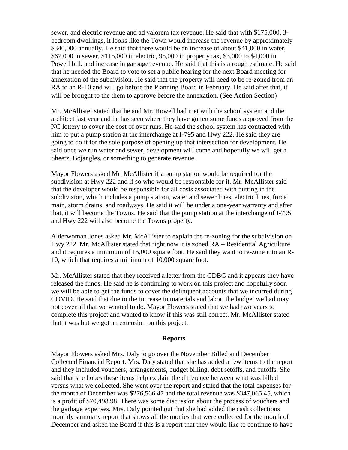sewer, and electric revenue and ad valorem tax revenue. He said that with \$175,000, 3 bedroom dwellings, it looks like the Town would increase the revenue by approximately \$340,000 annually. He said that there would be an increase of about \$41,000 in water, \$67,000 in sewer, \$115,000 in electric, 95,000 in property tax, \$3,000 to \$4,000 in Powell bill, and increase in garbage revenue. He said that this is a rough estimate. He said that he needed the Board to vote to set a public hearing for the next Board meeting for annexation of the subdivision. He said that the property will need to be re-zoned from an RA to an R-10 and will go before the Planning Board in February. He said after that, it will be brought to the them to approve before the annexation. (See Action Section)

Mr. McAllister stated that he and Mr. Howell had met with the school system and the architect last year and he has seen where they have gotten some funds approved from the NC lottery to cover the cost of over runs. He said the school system has contracted with him to put a pump station at the interchange at I-795 and Hwy 222. He said they are going to do it for the sole purpose of opening up that intersection for development. He said once we run water and sewer, development will come and hopefully we will get a Sheetz, Bojangles, or something to generate revenue.

Mayor Flowers asked Mr. McAllister if a pump station would be required for the subdivision at Hwy 222 and if so who would be responsible for it. Mr. McAllister said that the developer would be responsible for all costs associated with putting in the subdivision, which includes a pump station, water and sewer lines, electric lines, force main, storm drains, and roadways. He said it will be under a one-year warranty and after that, it will become the Towns. He said that the pump station at the interchange of I-795 and Hwy 222 will also become the Towns property.

Alderwoman Jones asked Mr. McAllister to explain the re-zoning for the subdivision on Hwy 222. Mr. McAllister stated that right now it is zoned RA – Residential Agriculture and it requires a minimum of 15,000 square foot. He said they want to re-zone it to an R-10, which that requires a minimum of 10,000 square foot.

Mr. McAllister stated that they received a letter from the CDBG and it appears they have released the funds. He said he is continuing to work on this project and hopefully soon we will be able to get the funds to cover the delinquent accounts that we incurred during COVID. He said that due to the increase in materials and labor, the budget we had may not cover all that we wanted to do. Mayor Flowers stated that we had two years to complete this project and wanted to know if this was still correct. Mr. McAllister stated that it was but we got an extension on this project.

#### **Reports**

Mayor Flowers asked Mrs. Daly to go over the November Billed and December Collected Financial Report. Mrs. Daly stated that she has added a few items to the report and they included vouchers, arrangements, budget billing, debt setoffs, and cutoffs. She said that she hopes these items help explain the difference between what was billed versus what we collected. She went over the report and stated that the total expenses for the month of December was \$276,566.47 and the total revenue was \$347,065.45, which is a profit of \$70,498.98. There was some discussion about the process of vouchers and the garbage expenses. Mrs. Daly pointed out that she had added the cash collections monthly summary report that shows all the monies that were collected for the month of December and asked the Board if this is a report that they would like to continue to have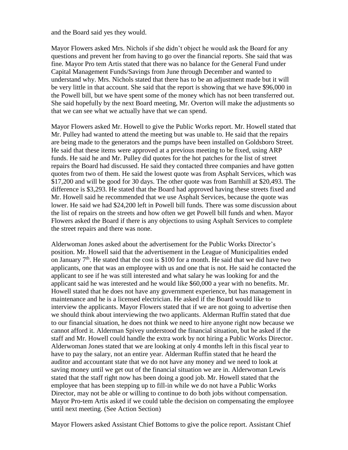and the Board said yes they would.

Mayor Flowers asked Mrs. Nichols if she didn't object he would ask the Board for any questions and prevent her from having to go over the financial reports. She said that was fine. Mayor Pro tem Artis stated that there was no balance for the General Fund under Capital Management Funds/Savings from June through December and wanted to understand why. Mrs. Nichols stated that there has to be an adjustment made but it will be very little in that account. She said that the report is showing that we have \$96,000 in the Powell bill, but we have spent some of the money which has not been transferred out. She said hopefully by the next Board meeting, Mr. Overton will make the adjustments so that we can see what we actually have that we can spend.

Mayor Flowers asked Mr. Howell to give the Public Works report. Mr. Howell stated that Mr. Pulley had wanted to attend the meeting but was unable to. He said that the repairs are being made to the generators and the pumps have been installed on Goldsboro Street. He said that these items were approved at a previous meeting to be fixed, using ARP funds. He said he and Mr. Pulley did quotes for the hot patches for the list of street repairs the Board had discussed. He said they contacted three companies and have gotten quotes from two of them. He said the lowest quote was from Asphalt Services, which was \$17,200 and will be good for 30 days. The other quote was from Barnhill at \$20,493. The difference is \$3,293. He stated that the Board had approved having these streets fixed and Mr. Howell said he recommended that we use Asphalt Services, because the quote was lower. He said we had \$24,200 left in Powell bill funds. There was some discussion about the list of repairs on the streets and how often we get Powell bill funds and when. Mayor Flowers asked the Board if there is any objections to using Asphalt Services to complete the street repairs and there was none.

Alderwoman Jones asked about the advertisement for the Public Works Director's position. Mr. Howell said that the advertisement in the League of Municipalities ended on January  $7<sup>th</sup>$ . He stated that the cost is \$100 for a month. He said that we did have two applicants, one that was an employee with us and one that is not. He said he contacted the applicant to see if he was still interested and what salary he was looking for and the applicant said he was interested and he would like \$60,000 a year with no benefits. Mr. Howell stated that he does not have any government experience, but has management in maintenance and he is a licensed electrician. He asked if the Board would like to interview the applicants. Mayor Flowers stated that if we are not going to advertise then we should think about interviewing the two applicants. Alderman Ruffin stated that due to our financial situation, he does not think we need to hire anyone right now because we cannot afford it. Alderman Spivey understood the financial situation, but he asked if the staff and Mr. Howell could handle the extra work by not hiring a Public Works Director. Alderwoman Jones stated that we are looking at only 4 months left in this fiscal year to have to pay the salary, not an entire year. Alderman Ruffin stated that he heard the auditor and accountant state that we do not have any money and we need to look at saving money until we get out of the financial situation we are in. Alderwoman Lewis stated that the staff right now has been doing a good job. Mr. Howell stated that the employee that has been stepping up to fill-in while we do not have a Public Works Director, may not be able or willing to continue to do both jobs without compensation. Mayor Pro-tem Artis asked if we could table the decision on compensating the employee until next meeting. (See Action Section)

Mayor Flowers asked Assistant Chief Bottoms to give the police report. Assistant Chief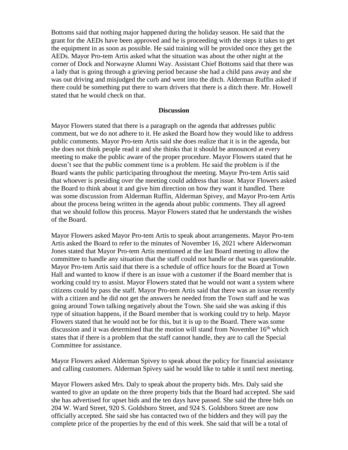Bottoms said that nothing major happened during the holiday season. He said that the grant for the AEDs have been approved and he is proceeding with the steps it takes to get the equipment in as soon as possible. He said training will be provided once they get the AEDs. Mayor Pro-tem Artis asked what the situation was about the other night at the corner of Dock and Norwayne Alumni Way. Assistant Chief Bottoms said that there was a lady that is going through a grieving period because she had a child pass away and she was out driving and misjudged the curb and went into the ditch. Alderman Ruffin asked if there could be something put there to warn drivers that there is a ditch there. Mr. Howell stated that he would check on that.

#### **Discussion**

Mayor Flowers stated that there is a paragraph on the agenda that addresses public comment, but we do not adhere to it. He asked the Board how they would like to address public comments. Mayor Pro-tem Artis said she does realize that it is in the agenda, but she does not think people read it and she thinks that it should be announced at every meeting to make the public aware of the proper procedure. Mayor Flowers stated that he doesn't see that the public comment time is a problem. He said the problem is if the Board wants the public participating throughout the meeting. Mayor Pro-tem Artis said that whoever is presiding over the meeting could address that issue. Mayor Flowers asked the Board to think about it and give him direction on how they want it handled. There was some discussion from Alderman Ruffin, Alderman Spivey, and Mayor Pro-tem Artis about the process being written in the agenda about public comments. They all agreed that we should follow this process. Mayor Flowers stated that he understands the wishes of the Board.

Mayor Flowers asked Mayor Pro-tem Artis to speak about arrangements. Mayor Pro-tem Artis asked the Board to refer to the minutes of November 16, 2021 where Alderwoman Jones stated that Mayor Pro-tem Artis mentioned at the last Board meeting to allow the committee to handle any situation that the staff could not handle or that was questionable. Mayor Pro-tem Artis said that there is a schedule of office hours for the Board at Town Hall and wanted to know if there is an issue with a customer if the Board member that is working could try to assist. Mayor Flowers stated that he would not want a system where citizens could by pass the staff. Mayor Pro-tem Artis said that there was an issue recently with a citizen and he did not get the answers he needed from the Town staff and he was going around Town talking negatively about the Town. She said she was asking if this type of situation happens, if the Board member that is working could try to help. Mayor Flowers stated that he would not be for this, but it is up to the Board. There was some discussion and it was determined that the motion will stand from November  $16<sup>th</sup>$  which states that if there is a problem that the staff cannot handle, they are to call the Special Committee for assistance.

Mayor Flowers asked Alderman Spivey to speak about the policy for financial assistance and calling customers. Alderman Spivey said he would like to table it until next meeting.

Mayor Flowers asked Mrs. Daly to speak about the property bids. Mrs. Daly said she wanted to give an update on the three property bids that the Board had accepted. She said she has advertised for upset bids and the ten days have passed. She said the three bids on 204 W. Ward Street, 920 S. Goldsboro Street, and 924 S. Goldsboro Street are now officially accepted. She said she has contacted two of the bidders and they will pay the complete price of the properties by the end of this week. She said that will be a total of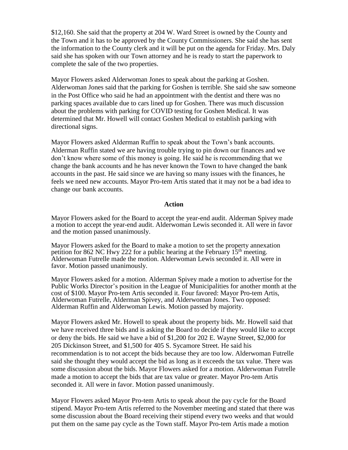\$12,160. She said that the property at 204 W. Ward Street is owned by the County and the Town and it has to be approved by the County Commissioners. She said she has sent the information to the County clerk and it will be put on the agenda for Friday. Mrs. Daly said she has spoken with our Town attorney and he is ready to start the paperwork to complete the sale of the two properties.

Mayor Flowers asked Alderwoman Jones to speak about the parking at Goshen. Alderwoman Jones said that the parking for Goshen is terrible. She said she saw someone in the Post Office who said he had an appointment with the dentist and there was no parking spaces available due to cars lined up for Goshen. There was much discussion about the problems with parking for COVID testing for Goshen Medical. It was determined that Mr. Howell will contact Goshen Medical to establish parking with directional signs.

Mayor Flowers asked Alderman Ruffin to speak about the Town's bank accounts. Alderman Ruffin stated we are having trouble trying to pin down our finances and we don't know where some of this money is going. He said he is recommending that we change the bank accounts and he has never known the Town to have changed the bank accounts in the past. He said since we are having so many issues with the finances, he feels we need new accounts. Mayor Pro-tem Artis stated that it may not be a bad idea to change our bank accounts.

#### **Action**

Mayor Flowers asked for the Board to accept the year-end audit. Alderman Spivey made a motion to accept the year-end audit. Alderwoman Lewis seconded it. All were in favor and the motion passed unanimously.

Mayor Flowers asked for the Board to make a motion to set the property annexation petition for 862 NC Hwy 222 for a public hearing at the February  $15<sup>th</sup>$  meeting. Alderwoman Futrelle made the motion. Alderwoman Lewis seconded it. All were in favor. Motion passed unanimously.

Mayor Flowers asked for a motion. Alderman Spivey made a motion to advertise for the Public Works Director's position in the League of Municipalities for another month at the cost of \$100. Mayor Pro-tem Artis seconded it. Four favored: Mayor Pro-tem Artis, Alderwoman Futrelle, Alderman Spivey, and Alderwoman Jones. Two opposed: Alderman Ruffin and Alderwoman Lewis. Motion passed by majority.

Mayor Flowers asked Mr. Howell to speak about the property bids. Mr. Howell said that we have received three bids and is asking the Board to decide if they would like to accept or deny the bids. He said we have a bid of \$1,200 for 202 E. Wayne Street, \$2,000 for 205 Dickinson Street, and \$1,500 for 405 S. Sycamore Street. He said his recommendation is to not accept the bids because they are too low. Alderwoman Futrelle said she thought they would accept the bid as long as it exceeds the tax value. There was some discussion about the bids. Mayor Flowers asked for a motion. Alderwoman Futrelle made a motion to accept the bids that are tax value or greater. Mayor Pro-tem Artis seconded it. All were in favor. Motion passed unanimously.

Mayor Flowers asked Mayor Pro-tem Artis to speak about the pay cycle for the Board stipend. Mayor Pro-tem Artis referred to the November meeting and stated that there was some discussion about the Board receiving their stipend every two weeks and that would put them on the same pay cycle as the Town staff. Mayor Pro-tem Artis made a motion